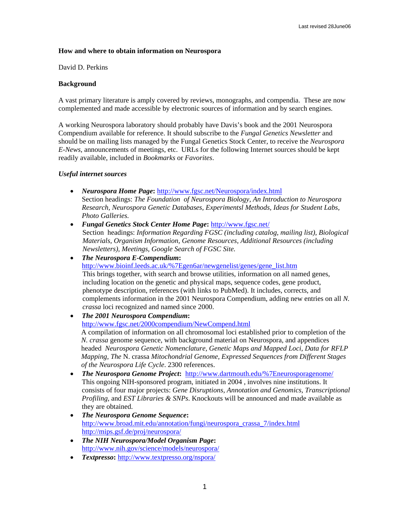### **How and where to obtain information on Neurospora**

David D. Perkins

#### **Background**

A vast primary literature is amply covered by reviews, monographs, and compendia. These are now complemented and made accessible by electronic sources of information and by search engines.

A working Neurospora laboratory should probably have Davis's book and the 2001 Neurospora Compendium available for reference. It should subscribe to the *Fungal Genetics Newsletter* and should be on mailing lists managed by the Fungal Genetics Stock Center, to receive the *Neurospora E-News*, announcements of meetings, etc. URLs for the following Internet sources should be kept readily available, included in *Bookmarks* or *Favorites*.

#### *Useful internet sources*

- *Neurospora Home Page***:** <http://www.fgsc.net/Neurospora/index.html> Section headings: *The Foundation of Neurospora Biology, An Introduction to Neurospora Research, Neurospora Genetic Databases, Experimentsl Methods, Ideas for Student Labs, Photo Galleries.*
- *Fungal Genetics Stock Center Home Page***:** <http://www.fgsc.net/> Section headings: *Information Regarding FGSC (including catalog, mailing list), Biological Materials, Organism Information, Genome Resources, Additional Resources (including Newsletters), Meetings, Google Search of FGSC Site.*
- *The Neurospora E-Compendium***:**  [http://www.bioinf.leeds.ac.uk/%7Egen6ar/newgenelist/genes/gene\\_list.htm](http://www.bioinf.leeds.ac.uk/%7Egen6ar/newgenelist/genes/gene_list.htm) This brings together, with search and browse utilities, information on all named genes, including location on the genetic and physical maps, sequence codes, gene product, phenotype description, references (with links to PubMed). It includes, corrects, and complements information in the 2001 Neurospora Compendium, adding new entries on all *N. crassa* loci recognized and named since 2000.
- *The 2001 Neurospora Compendium***:**

<http://www.fgsc.net/2000compendium/NewCompend.html>

A compilation of information on all chromosomal loci established prior to completion of the *N. crassa* genome sequence, with background material on Neurospora, and appendices headed *Neurospora Genetic Nomenclature, Genetic Maps and Mapped Loci, Data for RFLP Mapping, The* N. crassa *Mitochondrial Genome, Expressed Sequences from Different Stages of the Neurospora Life Cycle*. 2300 references.

- *The Neurospora Genome Project***:** <http://www.dartmouth.edu/%7Eneurosporagenome/> This ongoing NIH-sponsored program, initiated in 2004 , involves nine institutions. It consists of four major projects: *Gene Disruptions, Annotation and Genomics, Transcriptional Profiling,* and *EST Libraries & SNPs*. Knockouts will be announced and made available as they are obtained.
- *The Neurospora Genome Sequence***:** [http://www.broad.mit.edu/annotation/fungi/neurospora\\_crassa\\_7/index.html](http://www.broad.mit.edu/annotation/fungi/neurospora_crassa_7/index.html) <http://mips.gsf.de/proj/neurospora/>
- *The NIH Neurospora/Model Organism Page***:**  <http://www.nih.gov/science/models/neurospora/>
- *Textpresso***:** <http://www.textpresso.org/nspora/>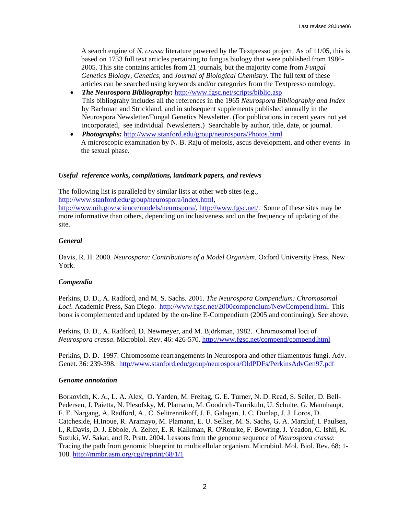A search engine of *N. crassa* literature powered by the Textpresso project. As of 11/05, this is based on 1733 full text articles pertaining to fungus biology that were published from 1986- 2005. This site contains articles from 21 journals, but the majority come from *Fungal Genetics Biology, Genetics,* and *Journal of Biological Chemistry.* The full text of these articles can be searched using keywords and/or categories from the Textpresso ontology.

- *The Neurospora Bibliography***:** <http://www.fgsc.net/scripts/biblio.asp> This bibliograhy includes all the references in the 1965 *Neurospora Bibliography and Index* by Bachman and Strickland, and in subsequent supplements published annually in the Neurospora Newsletter/Fungal Genetics Newsletter. (For publications in recent years not yet incorporated, see individual Newsletters.) Searchable by author, title, date, or journal.
- *Photographs***:** <http://www.stanford.edu/group/neurospora/Photos.html> A microscopic examination by N. B. Raju of meiosis, ascus development, and other events in the sexual phase.

### *Useful reference works, compilations, landmark papers, and reviews*

The following list is paralleled by similar lists at other web sites (e.g., [http://www.stanford.edu/group/neurospora/index.html,](http://www.stanford.edu/group/neurospora/index.html) <http://www.nih.gov/science/models/neurospora/>, <http://www.fgsc.net/>. Some of these sites may be more informative than others, depending on inclusiveness and on the frequency of updating of the site.

### *General*

Davis, R. H. 2000. *Neurospora: Contributions of a Model Organism.* Oxford University Press, New York.

### *Compendia*

Perkins, D. D., A. Radford, and M. S. Sachs. 2001. *The Neurospora Compendium: Chromosomal Loci.* Academic Press, San Diego. [http://www.fgsc.net/2000compendium/NewCompend.html.](http://www.fgsc.net/2000compendium/NewCompend.html) This book is complemented and updated by the on-line E-Compendium (2005 and continuing). See above.

Perkins, D. D., A. Radford, D. Newmeyer, and M. Björkman, 1982. Chromosomal loci of *Neurospora crassa*. Microbiol. Rev. 46: 426-570.<http://www.fgsc.net/compend/compend.html>

Perkins, D. D. 1997. Chromosome rearrangements in Neurospora and other filamentous fungi. Adv. Genet. 36: 239-398. [http//www.stanford.edu/group/neurospora/OldPDFs/PerkinsAdvGen97.pdf](http://www.stanford.edu/group/neurospora/OldPDFs/PerkinsAdvGen97.pdf)

### *Genome annotation*

Borkovich, K. A., L. A. Alex, O. Yarden, M. Freitag, G. E. Turner, N. D. Read, S. Seiler, D. Bell-Pedersen, J. Paietta, N. Plesofsky, M. Plamann, M. Goodrich-Tanrikulu, U. Schulte, G. Mannhaupt, F. E. Nargang, A. Radford, A., C. Selitrennikoff, J. E. Galagan, J. C. Dunlap, J. J. Loros, D. Catcheside, H.Inoue, R. Aramayo, M. Plamann, E. U. Selker, M. S. Sachs, G. A. Marzluf, I. Paulsen, I., R.Davis, D. J. Ebbole, A. Zelter, E. R. Kalkman, R. O'Rourke, F. Bowring, J. Yeadon, C. Ishii, K. Suzuki, W. Sakai, and R. Pratt. 2004. Lessons from the genome sequence of *Neurospora crassa*: Tracing the path from genomic blueprint to multicellular organism. Microbiol. Mol. Biol. Rev. 68: 1- 108.<http://mmbr.asm.org/cgi/reprint/68/1/1>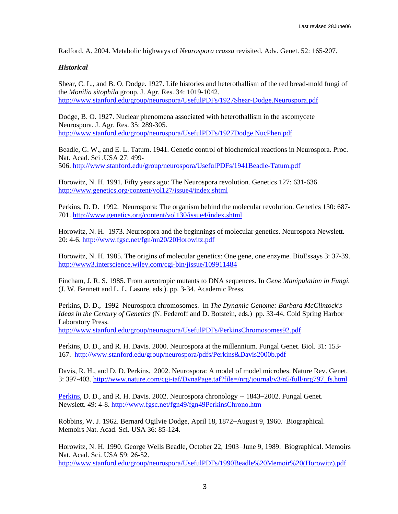Radford, A. 2004. Metabolic highways of *Neurospora crassa* revisited. Adv. Genet. 52: 165-207.

#### *Historical*

Shear, C. L., and B. O. Dodge. 1927. Life histories and heterothallism of the red bread-mold fungi of the *Monilia sitophila* group. J. Agr. Res. 34: 1019-1042. <http://www.stanford.edu/group/neurospora/UsefulPDFs/1927Shear-Dodge.Neurospora.pdf>

Dodge, B. O. 1927. Nuclear phenomena associated with heterothallism in the ascomycete Neurospora. J. Agr. Res. 35: 289-305. <http://www.stanford.edu/group/neurospora/UsefulPDFs/1927Dodge.NucPhen.pdf>

Beadle, G. W., and E. L. Tatum. 1941. Genetic control of biochemical reactions in Neurospora. Proc. Nat. Acad. Sci .USA 27: 499- 506.<http://www.stanford.edu/group/neurospora/UsefulPDFs/1941Beadle-Tatum.pdf>

Horowitz, N. H. 1991. Fifty years ago: The Neurospora revolution. Genetics 127: 631-636. <http://www.genetics.org/content/vol127/issue4/index.shtml>

Perkins, D. D. 1992. Neurospora: The organism behind the molecular revolution. Genetics 130: 687- 701.<http://www.genetics.org/content/vol130/issue4/index.shtml>

Horowitz, N. H. 1973. Neurospora and the beginnings of molecular genetics. Neurospora Newslett. 20: 4-6.<http://www.fgsc.net/fgn/nn20/20Horowitz.pdf>

Horowitz, N. H. 1985. The origins of molecular genetics: One gene, one enzyme. BioEssays 3: 37-39. [http://www3.interscience.wiley.com/cgi-bin/jissue/109911484](http://www3.interscience.wiley.com/cgi-bin/fulltext/109911494)

Fincham, J. R. S. 1985. From auxotropic mutants to DNA sequences. In *Gene Manipulation in Fungi.*  (J. W. Bennett and L. L. Lasure, eds.). pp. 3-34. Academic Press.

Perkins, D. D., 1992 Neurospora chromosomes. In *The Dynamic Genome: Barbara McClintock's Ideas in the Century of Genetics* (N. Federoff and D. Botstein, eds.) pp. 33-44. Cold Spring Harbor Laboratory Press.

<http://www.stanford.edu/group/neurospora/UsefulPDFs/PerkinsChromosomes92.pdf>

Perkins, D. D., and R. H. Davis. 2000. Neurospora at the millennium. Fungal Genet. Biol. 31: 153- 167. <http://www.stanford.edu/group/neurospora/pdfs/Perkins&Davis2000b.pdf>

Davis, R. H., and D. D. Perkins. 2002. Neurospora: A model of model microbes. Nature Rev. Genet. 3: 397-403. [http://www.nature.com/cgi-taf/DynaPage.taf?file=/nrg/journal/v3/n5/full/nrg797\\_fs.html](http://www.nature.com/cgi-taf/DynaPage.taf?file=/nrg/journal/v3/n5/full/nrg797_fs.html)

[Perkins](http://www.fgsc.net/fgn49/fgn49PerkinsChrono.htm), D. D., and R. H. Davis. 2002. Neurospora chronology -- 1843−2002. Fungal Genet. Newslett. 49: 4-8. [http://www.fgsc.net/fgn49/fgn49PerkinsChrono.htm](http://www.fgsc.net/fgn49/fgn49tofc.htm)

Robbins, W. J. 1962. Bernard Ogilvie Dodge, April 18, 1872−August 9, 1960. Biographical. Memoirs Nat. Acad. Sci. USA 36: 85-124.

Horowitz, N. H. 1990. George Wells Beadle, October 22, 1903−June 9, 1989. Biographical. Memoirs Nat. Acad. Sci. USA 59: 26-52.

[http://www.stanford.edu/group/neurospora/UsefulPDFs/1990Beadle%20Memoir%20\(Horowitz\).pdf](http://www.stanford.edu/group/neurospora/UsefulPDFs/1990Beadle Memoir (Horowitz).pdf)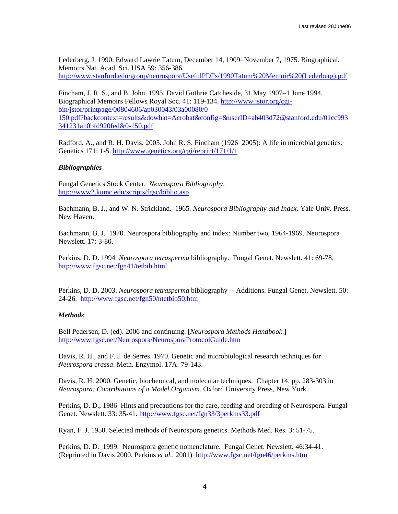Lederberg, J. 1990. Edward Lawrie Tatum, December 14, 1909−November 7, 1975. Biographical. Memoirs Nat. Acad. Sci. USA 59: 356-386. [http://www.stanford.edu/group/neurospora/UsefulPDFs/1990Tatum%20Memoir%20\(Lederberg\).pdf](http://www.stanford.edu/group/neurospora/UsefulPDFs/1990Tatum Memoir (Lederberg).pdf)

Fincham, J. R. S., and B. John. 1995. David Guthrie Catcheside, 31 May 1907−1 June 1994. Biographical Memoirs Fellows Royal Soc. 41: 119-134. [http://www.jstor.org/cgi](http://www.jstor.org/cgi-bin/jstor/printpage/00804606/ap030043/03a00080/0-150.pdf?backcontext=results&dowhat=Acrobat&config=&userID=ab403d72@stanford.edu/01cc993341231a10bfd920fed&0-150.pdf)[bin/jstor/printpage/00804606/ap030043/03a00080/0-](http://www.jstor.org/cgi-bin/jstor/printpage/00804606/ap030043/03a00080/0-150.pdf?backcontext=results&dowhat=Acrobat&config=&userID=ab403d72@stanford.edu/01cc993341231a10bfd920fed&0-150.pdf) [150.pdf?backcontext=results&dowhat=Acrobat&config=&userID=ab403d72@stanford.edu/01cc993](http://www.jstor.org/cgi-bin/jstor/printpage/00804606/ap030043/03a00080/0-150.pdf?backcontext=results&dowhat=Acrobat&config=&userID=ab403d72@stanford.edu/01cc993341231a10bfd920fed&0-150.pdf)

[341231a10bfd920fed&0-150.pdf](http://www.jstor.org/cgi-bin/jstor/printpage/00804606/ap030043/03a00080/0-150.pdf?backcontext=results&dowhat=Acrobat&config=&userID=ab403d72@stanford.edu/01cc993341231a10bfd920fed&0-150.pdf)

Radford, A., and R. H. Davis. 2005. John R. S. Fincham (1926−2005): A life in microbial genetics. Genetics 171: 1-5. <http://www.genetics.org/cgi/reprint/171/1/1>

### *Bibliographies*

Fungal Genetics Stock Center. *Neurospora Bibliography*. <http://www2.kumc.edu/scripts/fgsc/biblio.asp>

Bachmann, B. J., and W. N. Strickland. 1965. *Neurospora Bibliography and Index*. Yale Univ. Press. New Haven.

Bachmann, B. J. 1970. Neurospora bibliography and index: Number two, 1964-1969. Neurospora Newslett. 17: 3-80.

Perkins, D. D. 1994 *Neurospora tetrasperma* bibliography. Fungal Genet. Newslett. 41: 69-78. <http://www.fgsc.net/fgn41/tetbib.html>

Perkins, D. D. 2003. *Neurospora tetrasperma* bibliography -- Additions. Fungal Genet. Newslett. 50: 24-26. <http://www.fgsc.net/fgn50/ntetbib50.htm>

### *Methods*

Bell Pedersen, D. (ed). 2006 and continuing. [*Neurospora Methods Handbook*.] <http://www.fgsc.net/Neurospora/NeurosporaProtocolGuide.htm>

Davis, R. H., and F. J. de Serres. 1970. Genetic and microbiological research techniques for *Neurospora crassa*. Meth. Enzymol. 17A: 79-143.

Davis, R. H. 2000. Genetic, biochemical, and molecular techniques. Chapter 14, pp. 283-303 in *Neurospora: Contributions of a Model Organism.* Oxford University Press, New York.

Perkins, D. D., 1986 Hints and precautions for the care, feeding and breeding of Neurospora. Fungal Genet. Newslett. 33: 35-41.<http://www.fgsc.net/fgn33/3perkins33.pdf>

Ryan, F. J. 1950. Selected methods of Neurospora genetics. Methods Med. Res. 3: 51-75.

Perkins, D. D. 1999. Neurospora genetic nomenclature. Fungal Genet. Newslett. 46:34-41. (Reprinted in Davis 2000, Perkins *et al.,* 2001) <http://www.fgsc.net/fgn46/perkins.htm>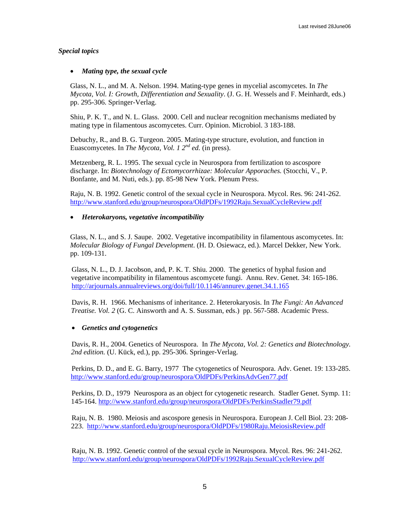### *Special topics*

# • *Mating type, the sexual cycle*

Glass, N. L., and M. A. Nelson. 1994. Mating-type genes in mycelial ascomycetes. In *The Mycota, Vol. I: Growth, Differentiation and Sexuality*. (J. G. H. Wessels and F. Meinhardt, eds.) pp. 295-306. Springer-Verlag.

Shiu, P. K. T., and N. L. Glass. 2000. Cell and nuclear recognition mechanisms mediated by mating type in filamentous ascomycetes. Curr. Opinion. Microbiol. 3 183-188.

Debuchy, R., and B. G. Turgeon. 2005. Mating-type structure, evolution, and function in Euascomycetes. In *The Mycota, Vol. 1 2nd ed.* (in press).

Metzenberg, R. L. 1995. The sexual cycle in Neurospora from fertilization to ascospore discharge. In: *Biotechnology of Ectomycorrhizae: Molecular Apporaches.* (Stocchi, V., P. Bonfante, and M. Nuti, eds.). pp. 85-98 New York. Plenum Press.

Raju, N. B. 1992. Genetic control of the sexual cycle in Neurospora. Mycol. Res. 96: 241-262. http://www.stanford.edu/group/neurospora/OldPDFs/1992Raju.SexualCycleReview.pdf

### • *Heterokaryons, vegetative incompatibility*

Glass, N. L., and S. J. Saupe. 2002. Vegetative incompatibility in filamentous ascomycetes. In: *Molecular Biology of Fungal Development*. (H. D. Osiewacz, ed.). Marcel Dekker, New York. pp. 109-131.

Glass, N. L., D. J. Jacobson, and, P. K. T. Shiu. 2000. The genetics of hyphal fusion and vegetative incompatibility in filamentous ascomycete fungi. Annu. Rev. Genet. 34: 165-186. <http://arjournals.annualreviews.org/doi/full/10.1146/annurev.genet.34.1.165>

Davis, R. H. 1966. Mechanisms of inheritance. 2. Heterokaryosis. In *The Fungi: An Advanced Treatise. Vol. 2* (G. C. Ainsworth and A. S. Sussman, eds.)pp. 567-588. Academic Press.

### • *Genetics and cytogenetics*

Davis, R. H., 2004. Genetics of Neurospora. In *The Mycota, Vol. 2: Genetics and Biotechnology. 2nd edition.* (U. Kück, ed.), pp. 295-306. Springer-Verlag.

Perkins, D. D., and E. G. Barry, 1977 The cytogenetics of Neurospora. Adv. Genet. 19: 133-285. <http://www.stanford.edu/group/neurospora/OldPDFs/PerkinsAdvGen77.pdf>

Perkins, D. D., 1979 Neurospora as an object for cytogenetic research. Stadler Genet. Symp. 11: 145-164. <http://www.stanford.edu/group/neurospora/OldPDFs/PerkinsStadler79.pdf>

Raju, N. B. 1980. Meiosis and ascospore genesis in Neurospora. European J. Cell Biol. 23: 208- 223. <http://www.stanford.edu/group/neurospora/OldPDFs/1980Raju.MeiosisReview.pdf>

Raju, N. B. 1992. Genetic control of the sexual cycle in Neurospora. Mycol. Res. 96: 241-262. [http://www.stanford.edu/group/neurospora/OldPDFs/1992Raju.SexualCycleReview.pdf](http://www.stanford.edu/group/neurospora/OldPDFs/RajuMycolRes92.pdf)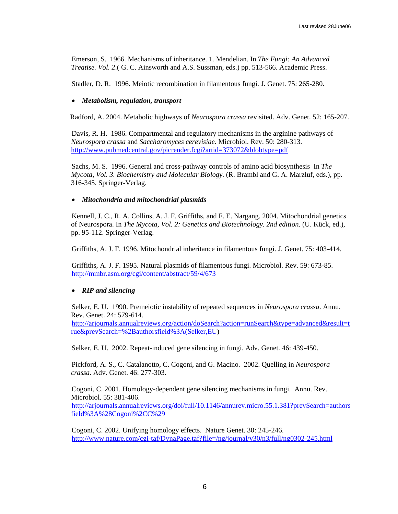Emerson, S. 1966. Mechanisms of inheritance. 1. Mendelian. In *The Fungi: An Advanced Treatise. Vol. 2*.( G. C. Ainsworth and A.S. Sussman, eds.) pp. 513-566. Academic Press.

Stadler, D. R. 1996. Meiotic recombination in filamentous fungi. J. Genet. 75: 265-280.

### • *Metabolism, regulation, transport*

Radford, A. 2004. Metabolic highways of *Neurospora crassa* revisited. Adv. Genet. 52: 165-207.

Davis, R. H. 1986. Compartmental and regulatory mechanisms in the arginine pathways of *Neurospora crassa* and *Saccharomyces cerevisiae*. Microbiol. Rev. 50: 280-313. <http://www.pubmedcentral.gov/picrender.fcgi?artid=373072&blobtype=pdf>

Sachs, M. S. 1996. General and cross-pathway controls of amino acid biosynthesis In *The Mycota, Vol. 3. Biochemistry and Molecular Biology.* (R. Brambl and G. A. Marzluf, eds.), pp. 316-345. Springer-Verlag.

### • *Mitochondria and mitochondrial plasmids*

Kennell, J. C., R. A. Collins, A. J. F. Griffiths, and F. E. Nargang. 2004. Mitochondrial genetics of Neurospora. In *The Mycota, Vol. 2: Genetics and Biotechnology. 2nd edition.* (U. Kück, ed.), pp. 95-112. Springer-Verlag.

Griffiths, A. J. F. 1996. Mitochondrial inheritance in filamentous fungi. J. Genet. 75: 403-414.

Griffiths, A. J. F. 1995. Natural plasmids of filamentous fungi. Microbiol. Rev. 59: 673-85. <http://mmbr.asm.org/cgi/content/abstract/59/4/673>

# • *RIP and silencing*

Selker, E. U. 1990. Premeiotic instability of repeated sequences in *Neurospora crassa*. Annu. Rev. Genet. 24: 579-614.

[http://arjournals.annualreviews.org/action/doSearch?action=runSearch&type=advanced&result=t](http://arjournals.annualreviews.org/action/doSearch?action=runSearch&type=advanced&result=true&prevSearch=%2Bauthorsfield%3A(Selker,EU) [rue&prevSearch=%2Bauthorsfield%3A\(Selker,EU\)](http://arjournals.annualreviews.org/action/doSearch?action=runSearch&type=advanced&result=true&prevSearch=%2Bauthorsfield%3A(Selker,EU)

Selker, E. U. 2002. Repeat-induced gene silencing in fungi. Adv. Genet. 46: 439-450.

Pickford, A. S., C. Catalanotto, C. Cogoni, and G. Macino. 2002. Quelling in *Neurospora crassa*. Adv. Genet. 46: 277-303.

Cogoni, C. 2001. Homology-dependent gene silencing mechanisms in fungi. Annu. Rev. Microbiol. 55: 381-406. [http://arjournals.annualreviews.org/doi/full/10.1146/annurev.micro.55.1.381?prevSearch=authors](http://arjournals.annualreviews.org/doi/full/10.1146/annurev.micro.55.1.381?prevSearch=authorsfield%3A%28Cogoni%2CC%29) [field%3A%28Cogoni%2CC%29](http://arjournals.annualreviews.org/doi/full/10.1146/annurev.micro.55.1.381?prevSearch=authorsfield%3A%28Cogoni%2CC%29)

Cogoni, C. 2002. Unifying homology effects. Nature Genet. 30: 245-246. <http://www.nature.com/cgi-taf/DynaPage.taf?file=/ng/journal/v30/n3/full/ng0302-245.html>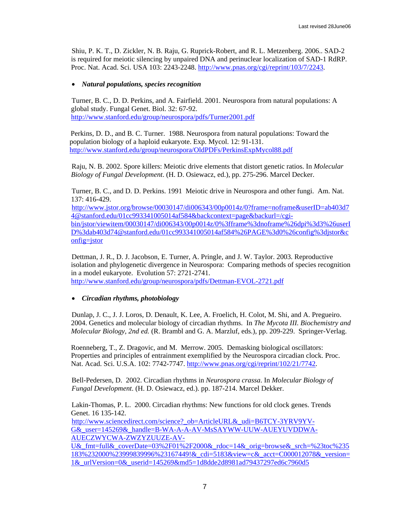Shiu, P. K. T., D. Zickler, N. B. Raju, G. Ruprick-Robert, and R. L. Metzenberg. 2006.. SAD-2 is required for meiotic silencing by unpaired DNA and perinuclear localization of SAD-1 RdRP. Proc. Nat. Acad. Sci. USA 103: 2243-2248. <http://www.pnas.org/cgi/reprint/103/7/2243>.

# • *Natural populations, species recognition*

Turner, B. C., D. D. Perkins, and A. Fairfield. 2001. Neurospora from natural populations: A global study. Fungal Genet. Biol. 32: 67-92. <http://www.stanford.edu/group/neurospora/pdfs/Turner2001.pdf>

Perkins, D. D., and B. C. Turner. 1988. Neurospora from natural populations: Toward the population biology of a haploid eukaryote. Exp. Mycol. 12: 91-131. <http://www.stanford.edu/group/neurospora/OldPDFs/PerkinsExpMycol88.pdf>

Raju, N. B. 2002. Spore killers: Meiotic drive elements that distort genetic ratios. In *Molecular Biology of Fungal Development*. (H. D. Osiewacz, ed.), pp. 275-296. Marcel Decker.

Turner, B. C., and D. D. Perkins. 1991 Meiotic drive in Neurospora and other fungi. Am. Nat. 137: 416-429.

[http://www.jstor.org/browse/00030147/di006343/00p0014z/0?frame=noframe&userID=ab403d7](http://www.jstor.org/browse/00030147/di006343/00p0014z/0?frame=noframe&userID=ab403d74@stanford.edu/01cc993341005014af584&backcontext=page&backurl=/cgi-bin/jstor/viewitem/00030147/di006343/00p0014z/0%3fframe%3dnoframe%26dpi%3d3%26userID%3dab403) [4@stanford.edu/01cc993341005014af584&backcontext=page&backurl=/cgi](http://www.jstor.org/browse/00030147/di006343/00p0014z/0?frame=noframe&userID=ab403d74@stanford.edu/01cc993341005014af584&backcontext=page&backurl=/cgi-bin/jstor/viewitem/00030147/di006343/00p0014z/0%3fframe%3dnoframe%26dpi%3d3%26userID%3dab403)[bin/jstor/viewitem/00030147/di006343/00p0014z/0%3fframe%3dnoframe%26dpi%3d3%26userI](http://www.jstor.org/browse/00030147/di006343/00p0014z/0?frame=noframe&userID=ab403d74@stanford.edu/01cc993341005014af584&backcontext=page&backurl=/cgi-bin/jstor/viewitem/00030147/di006343/00p0014z/0%3fframe%3dnoframe%26dpi%3d3%26userID%3dab403) [D%3dab403d74@stanford.edu/01cc993341005014af584%26PAGE%3d0%26config%3djstor&c](http://www.jstor.org/browse/00030147/di006343/00p0014z/0?frame=noframe&userID=ab403d74@stanford.edu/01cc993341005014af584&backcontext=page&backurl=/cgi-bin/jstor/viewitem/00030147/di006343/00p0014z/0%3fframe%3dnoframe%26dpi%3d3%26userID%3dab403) [onfig=jstor](http://www.jstor.org/browse/00030147/di006343/00p0014z/0?frame=noframe&userID=ab403d74@stanford.edu/01cc993341005014af584&backcontext=page&backurl=/cgi-bin/jstor/viewitem/00030147/di006343/00p0014z/0%3fframe%3dnoframe%26dpi%3d3%26userID%3dab403)

Dettman, J. R., D. J. Jacobson, E. Turner, A. Pringle, and J. W. Taylor. 2003. Reproductive isolation and phylogenetic divergence in Neurospora: Comparing methods of species recognition in a model eukaryote. Evolution 57: 2721-2741. [http://www.stanford.edu/group/neurospora/pdfs/Dettman-EVOL-2721.pdf](http://www.stanford.edu/group/neurospora/pdfs/Dettman-EVOL-2721:pdf)

# • *Circadian rhythms, photobiology*

Dunlap, J. C., J. J. Loros, D. Denault, K. Lee, A. Froelich, H. Colot, M. Shi, and A. Pregueiro. 2004. Genetics and molecular biology of circadian rhythms. In *The Mycota III. Biochemistry and Molecular Biology, 2nd ed.* (R. Brambl and G. A. Marzluf, eds.), pp. 209-229. Springer-Verlag.

Roenneberg, T., Z. Dragovic, and M. Merrow. 2005. Demasking biological oscillators: Properties and principles of entrainment exemplified by the Neurospora circadian clock. Proc. Nat. Acad. Sci. U.S.A. 102: 7742-7747. [http://www.pnas.org/cgi/reprint/102/21/7742.](http://www.pnas.org/cgi/reprint/102/21/7742)

Bell-Pedersen, D. 2002. Circadian rhythms in *Neurospora crassa*. In *Molecular Biology of Fungal Development*. (H. D. Osiewacz, ed.). pp. 187-214. Marcel Dekker.

Lakin-Thomas, P. L. 2000. Circadian rhythms: New functions for old clock genes. Trends Genet. 16 135-142.

[http://www.sciencedirect.com/science?\\_ob=ArticleURL&\\_udi=B6TCY-3YRV9YV-](http://www.sciencedirect.com/science?_ob=ArticleURL&_udi=B6TCY-3YRV9YV-G&_user=145269&_handle=B-WA-A-A-AV-MsSAYWW-UUW-AUEYUVDDWA-AUECZWYCWA-ZWZYZUUZE-AV-U&_fmt=full&_coverDate=03%2F01%2F2000&_rdoc=14&_orig=browse&_srch=%23toc%235183%232000%2399)[G&\\_user=145269&\\_handle=B-WA-A-A-AV-MsSAYWW-UUW-AUEYUVDDWA-](http://www.sciencedirect.com/science?_ob=ArticleURL&_udi=B6TCY-3YRV9YV-G&_user=145269&_handle=B-WA-A-A-AV-MsSAYWW-UUW-AUEYUVDDWA-AUECZWYCWA-ZWZYZUUZE-AV-U&_fmt=full&_coverDate=03%2F01%2F2000&_rdoc=14&_orig=browse&_srch=%23toc%235183%232000%2399)[AUECZWYCWA-ZWZYZUUZE-AV-](http://www.sciencedirect.com/science?_ob=ArticleURL&_udi=B6TCY-3YRV9YV-G&_user=145269&_handle=B-WA-A-A-AV-MsSAYWW-UUW-AUEYUVDDWA-AUECZWYCWA-ZWZYZUUZE-AV-U&_fmt=full&_coverDate=03%2F01%2F2000&_rdoc=14&_orig=browse&_srch=%23toc%235183%232000%2399)

[U&\\_fmt=full&\\_coverDate=03%2F01%2F2000&\\_rdoc=14&\\_orig=browse&\\_srch=%23toc%235](http://www.sciencedirect.com/science?_ob=ArticleURL&_udi=B6TCY-3YRV9YV-G&_user=145269&_handle=B-WA-A-A-AV-MsSAYWW-UUW-AUEYUVDDWA-AUECZWYCWA-ZWZYZUUZE-AV-U&_fmt=full&_coverDate=03%2F01%2F2000&_rdoc=14&_orig=browse&_srch=%23toc%235183%232000%2399) [183%232000%23999839996%23167449!&\\_cdi=5183&view=c&\\_acct=C000012078&\\_version=](http://www.sciencedirect.com/science?_ob=ArticleURL&_udi=B6TCY-3YRV9YV-G&_user=145269&_handle=B-WA-A-A-AV-MsSAYWW-UUW-AUEYUVDDWA-AUECZWYCWA-ZWZYZUUZE-AV-U&_fmt=full&_coverDate=03%2F01%2F2000&_rdoc=14&_orig=browse&_srch=%23toc%235183%232000%2399) [1&\\_urlVersion=0&\\_userid=145269&md5=1d8dde2d8981ad79437297ed6c7960d5](http://www.sciencedirect.com/science?_ob=ArticleURL&_udi=B6TCY-3YRV9YV-G&_user=145269&_handle=B-WA-A-A-AV-MsSAYWW-UUW-AUEYUVDDWA-AUECZWYCWA-ZWZYZUUZE-AV-U&_fmt=full&_coverDate=03%2F01%2F2000&_rdoc=14&_orig=browse&_srch=%23toc%235183%232000%2399)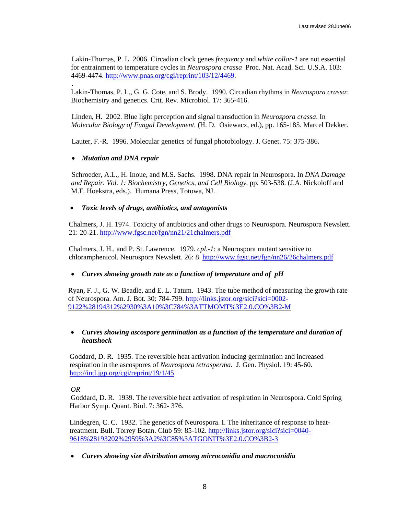Lakin-Thomas, P. L. 2006. Circadian clock genes *frequency* and *white collar-1* are not essential for entrainment to temperature cycles in *Neurospora crassa* Proc. Nat. Acad. Sci. U.S.A. 103: 4469-4474. [http://www.pnas.org/cgi/reprint/103/12/4469.](http://www.pnas.org/cgi/reprint/103/12/4469)

Lakin-Thomas, P. L., G. G. Cote, and S. Brody. 1990. Circadian rhythms in *Neurospora crassa*: Biochemistry and genetics. Crit. Rev. Microbiol. 17: 365-416.

Linden, H. 2002. Blue light perception and signal transduction in *Neurospora crassa*. In *Molecular Biology of Fungal Development.* (H. D. Osiewacz, ed.), pp. 165-185. Marcel Dekker.

Lauter, F.-R. 1996. Molecular genetics of fungal photobiology. J. Genet. 75: 375-386.

# • *Mutation and DNA repair*

.

Schroeder, A.L., H. Inoue, and M.S. Sachs. 1998. DNA repair in Neurospora. In *DNA Damage and Repair. Vol. 1: Biochemistry, Genetics, and Cell Biology*. pp. 503-538. (J.A. Nickoloff and M.F. Hoekstra, eds.). Humana Press, Totowa, NJ.

### • *Toxic levels of drugs, antibiotics, and antagonists*

Chalmers, J. H. 1974. Toxicity of antibiotics and other drugs to Neurospora. Neurospora Newslett. 21: 20-21. <http://www.fgsc.net/fgn/nn21/21chalmers.pdf>

Chalmers, J. H., and P. St. Lawrence. 1979. *cpl.-1*: a Neurospora mutant sensitive to chloramphenicol. Neurospora Newslett. 26: 8. <http://www.fgsc.net/fgn/nn26/26chalmers.pdf>

# • *Curves showing growth rate as a function of temperature and of pH*

Ryan, F. J., G. W. Beadle, and E. L. Tatum. 1943. The tube method of measuring the growth rate of Neurospora. Am. J. Bot. 30: 784-799. [http://links.jstor.org/sici?sici=0002-](http://links.jstor.org/sici?sici=0002-9122%28194312%2930%3A10%3C784%3ATTMOMT%3E2.0.CO%3B2-M) [9122%28194312%2930%3A10%3C784%3ATTMOMT%3E2.0.CO%3B2-M](http://links.jstor.org/sici?sici=0002-9122%28194312%2930%3A10%3C784%3ATTMOMT%3E2.0.CO%3B2-M)

# • *Curves showing ascospore germination as a function of the temperature and duration of heatshock*

Goddard, D. R. 1935. The reversible heat activation inducing germination and increased respiration in the ascospores of *Neurospora tetrasperma*. J. Gen. Physiol. 19: 45-60. <http://intl.jgp.org/cgi/reprint/19/1/45>

### *OR*

Goddard, D. R. 1939. The reversible heat activation of respiration in Neurospora. Cold Spring Harbor Symp. Quant. Biol. 7: 362- 376.

Lindegren, C. C. 1932. The genetics of Neurospora. I. The inheritance of response to heattreatment. Bull. Torrey Botan. Club 59: 85-102. [http://links.jstor.org/sici?sici=0040-](http://links.jstor.org/sici?sici=0040-9618%28193202%2959%3A2%3C85%3ATGONIT%3E2.0.CO%3B2-3) [9618%28193202%2959%3A2%3C85%3ATGONIT%3E2.0.CO%3B2-3](http://links.jstor.org/sici?sici=0040-9618%28193202%2959%3A2%3C85%3ATGONIT%3E2.0.CO%3B2-3)

• *Curves showing size distribution among microconidia and macroconidia*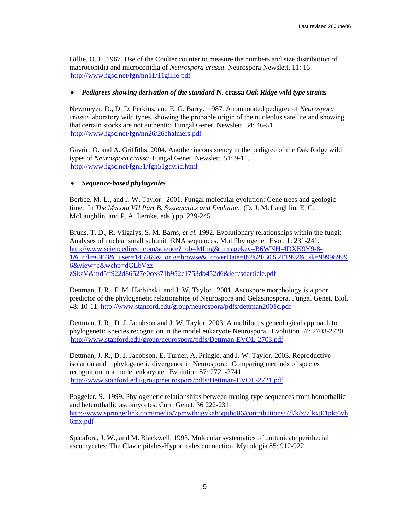Gillie, O. J. 1967. Use of the Coulter counter to measure the numbers and size distribution of macroconidia and microconidia of *Neurospora crassa*. Neurospora Newslett. 11: 16. <http://www.fgsc.net/fgn/nn11/11gillie.pdf>

# • *Pedigrees showing derivation of the standard* **N. crassa** *Oak Ridge wild type strains*

Newmeyer, D., D. D. Perkins, and E. G. Barry. 1987. An annotated pedigree of *Neurospora crassa* laboratory wild types, showing the probable origin of the nucleolus satellite and showing that certain stocks are not authentic. Fungal Genet. Newslett. 34: 46-51. <http://www.fgsc.net/fgn/nn26/26chalmers.pdf>

Gavric, O. and A. Griffiths. 2004. Another inconsistency in the pedigree of the Oak Ridge wild types of *Neurospora crassa*. Fungal Genet. Newslett. 51: 9-11. <http://www.fgsc.net/fgn51/fgn51gavric.html>

# • *Sequence-based phylogenies*

Berbee, M. L., and J. W. Taylor. 2001. Fungal molecular evolution: Gene trees and geologic time. In *The Mycota VII Part B. Systematics and Evolution*. (D. J. McLaughlin, E. G. McLaughlin, and P. A. Lemke, eds.) pp. 229-245.

Bruns, T. D., R. Vilgalys, S. M. Barns, *et al.* 1992. Evolutionary relationships within the fungi: Analyses of nuclear small subunit rRNA sequences. Mol Phylogenet. Evol. 1: 231-241. [http://www.sciencedirect.com/science?\\_ob=MImg&\\_imagekey=B6WNH-4DXK9Y9-8-](http://www.sciencedirect.com/science?_ob=MImg&_imagekey=B6WNH-4DXK9Y9-8-1&_cdi=6963&_user=145269&_orig=browse&_coverDate=09%2F30%2F1992&_sk=999989996&view=c&wchp=dGLbVzz-zSkzV&md5=922d86527e0ce871b952c1753db452d6&ie=/sdarticle.pdf) 1& cdi=6963& user=145269& orig=browse& coverDate=09%2F30%2F1992& sk=99998999 [6&view=c&wchp=dGLbVzz](http://www.sciencedirect.com/science?_ob=MImg&_imagekey=B6WNH-4DXK9Y9-8-1&_cdi=6963&_user=145269&_orig=browse&_coverDate=09%2F30%2F1992&_sk=999989996&view=c&wchp=dGLbVzz-zSkzV&md5=922d86527e0ce871b952c1753db452d6&ie=/sdarticle.pdf)[zSkzV&md5=922d86527e0ce871b952c1753db452d6&ie=/sdarticle.pdf](http://www.sciencedirect.com/science?_ob=MImg&_imagekey=B6WNH-4DXK9Y9-8-1&_cdi=6963&_user=145269&_orig=browse&_coverDate=09%2F30%2F1992&_sk=999989996&view=c&wchp=dGLbVzz-zSkzV&md5=922d86527e0ce871b952c1753db452d6&ie=/sdarticle.pdf)

Dettman, J. R., F. M. Harbinski, and J. W. Taylor. 2001. Ascospore morphology is a poor predictor of the phylogenetic relationships of Neurospora and Gelasinospora. Fungal Genet. Biol. 48: 10-11. <http://www.stanford.edu/group/neurospora/pdfs/dettman2001c.pdf>

Dettman, J. R., D. J. Jacobson and J. W. Taylor. 2003. A multilocus geneological approach to phylogenetic species recognition in the model eukaryote Neurospora. Evolution 57: 2703-2720. <http://www.stanford.edu/group/neurospora/pdfs/Dettman-EVOL-2703.pdf>

Dettman, J. R., D. J. Jacobson, E. Turner, A. Pringle, and J. W. Taylor. 2003. Reproductive isolation and phylogenetic divergence in Neurospora: Comparing methods of species recognition in a model eukaryote. Evolution 57: 2721-2741. [http://www.stanford.edu/group/neurospora/pdfs/Dettman-EVOL-2721.pdf](http://www.stanford.edu/group/neurospora/pdfs/Dettman-EVOL-2703.pdf)

Poggeler, S. 1999. Phylogenetic relationships between mating-type sequences from homothallic and heterothallic ascomycetes. Curr. Genet. 36 222-231. [http://www.springerlink.com/media/7pmwthqgvkah5tpjhq06/contributions/7/l/k/x/7lkxj01pkt6vh](http://www.springerlink.com/media/7pmwthqgvkah5tpjhq06/contributions/7/l/k/x/7lkxj01pkt6vh6mx.pdf) [6mx.pdf](http://www.springerlink.com/media/7pmwthqgvkah5tpjhq06/contributions/7/l/k/x/7lkxj01pkt6vh6mx.pdf)

Spatafora, J. W., and M. Blackwell. 1993. Molecular systematics of unitunicate perithecial ascomycetes: The Clavicipitales-Hypocreales connection. Mycologia 85: 912-922.